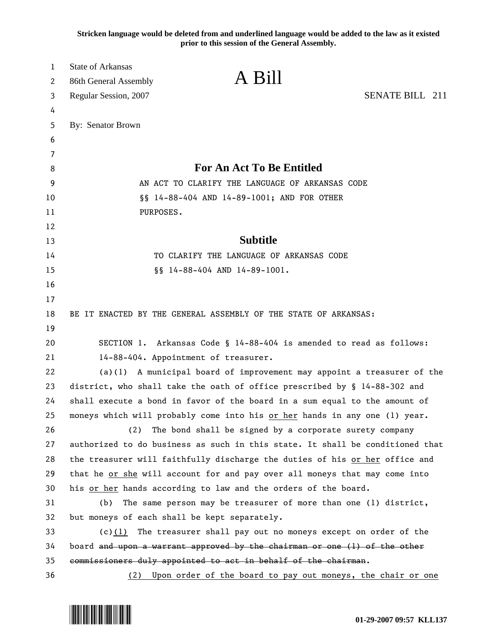**Stricken language would be deleted from and underlined language would be added to the law as it existed prior to this session of the General Assembly.**

| 1        | <b>State of Arkansas</b>                                                      |                                                                     |                 |  |
|----------|-------------------------------------------------------------------------------|---------------------------------------------------------------------|-----------------|--|
| 2        | 86th General Assembly                                                         | A Bill                                                              |                 |  |
| 3        | Regular Session, 2007                                                         |                                                                     | SENATE BILL 211 |  |
| 4        |                                                                               |                                                                     |                 |  |
| 5        | By: Senator Brown                                                             |                                                                     |                 |  |
| 6        |                                                                               |                                                                     |                 |  |
| 7        |                                                                               | <b>For An Act To Be Entitled</b>                                    |                 |  |
| 8        |                                                                               |                                                                     |                 |  |
| 9        | AN ACT TO CLARIFY THE LANGUAGE OF ARKANSAS CODE                               |                                                                     |                 |  |
| 10       |                                                                               | §§ 14-88-404 AND 14-89-1001; AND FOR OTHER                          |                 |  |
| 11       | PURPOSES.                                                                     |                                                                     |                 |  |
| 12<br>13 |                                                                               | <b>Subtitle</b>                                                     |                 |  |
| 14       | TO CLARIFY THE LANGUAGE OF ARKANSAS CODE                                      |                                                                     |                 |  |
| 15       | §§ 14-88-404 AND 14-89-1001.                                                  |                                                                     |                 |  |
| 16       |                                                                               |                                                                     |                 |  |
| 17       |                                                                               |                                                                     |                 |  |
| 18       | BE IT ENACTED BY THE GENERAL ASSEMBLY OF THE STATE OF ARKANSAS:               |                                                                     |                 |  |
| 19       |                                                                               |                                                                     |                 |  |
| 20       |                                                                               | SECTION 1. Arkansas Code § 14-88-404 is amended to read as follows: |                 |  |
| 21       | 14-88-404. Appointment of treasurer.                                          |                                                                     |                 |  |
| 22       | $(a)(1)$ A municipal board of improvement may appoint a treasurer of the      |                                                                     |                 |  |
| 23       | district, who shall take the oath of office prescribed by § 14-88-302 and     |                                                                     |                 |  |
| 24       | shall execute a bond in favor of the board in a sum equal to the amount of    |                                                                     |                 |  |
| 25       | moneys which will probably come into his or her hands in any one (1) year.    |                                                                     |                 |  |
| 26       | (2)                                                                           | The bond shall be signed by a corporate surety company              |                 |  |
| 27       | authorized to do business as such in this state. It shall be conditioned that |                                                                     |                 |  |
| 28       | the treasurer will faithfully discharge the duties of his or her office and   |                                                                     |                 |  |
| 29       | that he or she will account for and pay over all moneys that may come into    |                                                                     |                 |  |
| 30       | his or her hands according to law and the orders of the board.                |                                                                     |                 |  |
| 31       | The same person may be treasurer of more than one (1) district,<br>(b)        |                                                                     |                 |  |
| 32       | but moneys of each shall be kept separately.                                  |                                                                     |                 |  |
| 33       | (c)(1)                                                                        | The treasurer shall pay out no moneys except on order of the        |                 |  |
| 34       | board and upon a warrant approved by the chairman or one (1) of the other     |                                                                     |                 |  |
| 35       | commissioners duly appointed to act in behalf of the chairman.                |                                                                     |                 |  |
| 36       |                                                                               | (2) Upon order of the board to pay out moneys, the chair or one     |                 |  |